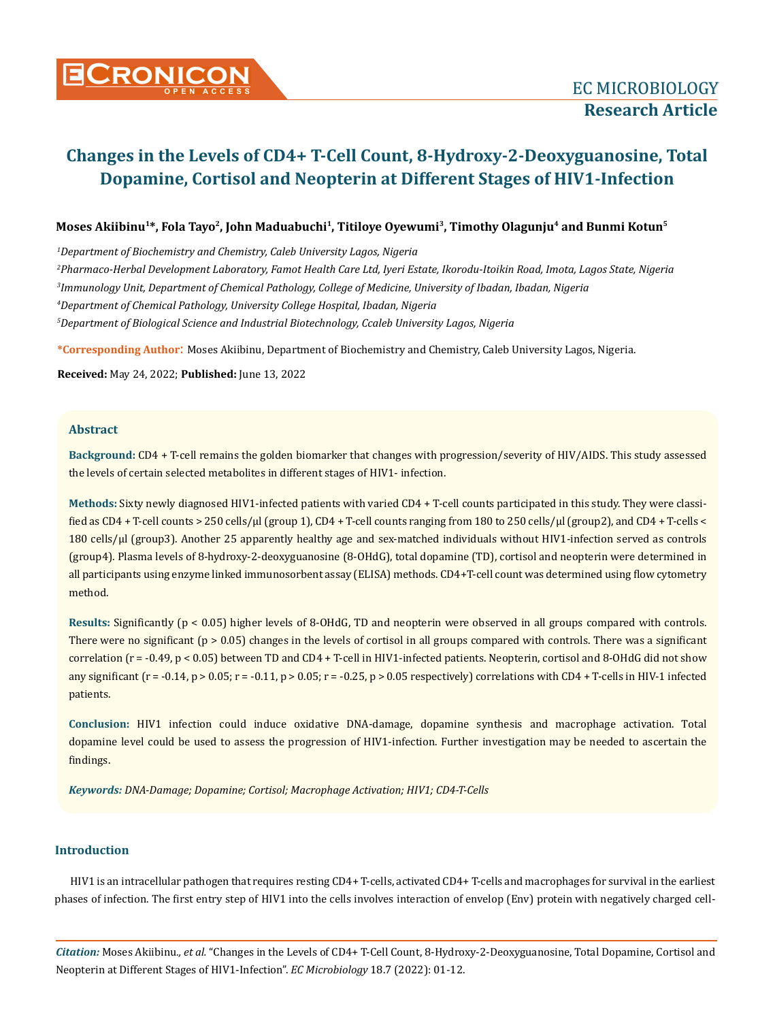# **CRONICON**<br> **CRONICON**<br> **EC MICROBIOLOGY**

# **Changes in the Levels of CD4+ T-Cell Count, 8-Hydroxy-2-Deoxyguanosine, Total Dopamine, Cortisol and Neopterin at Different Stages of HIV1-Infection**

# Moses Akiibinu<sup>1\*</sup>, Fola Tayo<sup>2</sup>, John Maduabuchi<sup>1</sup>, Titiloye Oyewumi<sup>3</sup>, Timothy Olagunju<sup>4</sup> and Bunmi Kotun<sup>5</sup>

 *Department of Biochemistry and Chemistry, Caleb University Lagos, Nigeria Pharmaco-Herbal Development Laboratory, Famot Health Care Ltd, Iyeri Estate, Ikorodu-Itoikin Road, Imota, Lagos State, Nigeria Immunology Unit, Department of Chemical Pathology, College of Medicine, University of Ibadan, Ibadan, Nigeria Department of Chemical Pathology, University College Hospital, Ibadan, Nigeria* 

*5 Department of Biological Science and Industrial Biotechnology, Ccaleb University Lagos, Nigeria*

**\*Corresponding Author**: Moses Akiibinu, Department of Biochemistry and Chemistry, Caleb University Lagos, Nigeria.

**Received:** May 24, 2022; **Published:** June 13, 2022

# **Abstract**

**Background:** CD4 + T-cell remains the golden biomarker that changes with progression/severity of HIV/AIDS. This study assessed the levels of certain selected metabolites in different stages of HIV1- infection.

**Methods:** Sixty newly diagnosed HIV1-infected patients with varied CD4 + T-cell counts participated in this study. They were classified as  $CD4$  + T-cell counts > 250 cells/ $\mu$ [ (group 1), CD4 + T-cell counts ranging from 180 to 250 cells/ $\mu$ [ (group2), and CD4 + T-cells < 180 cells/µl (group3). Another 25 apparently healthy age and sex-matched individuals without HIV1-infection served as controls (group4). Plasma levels of 8-hydroxy-2-deoxyguanosine (8-OHdG), total dopamine (TD), cortisol and neopterin were determined in all participants using enzyme linked immunosorbent assay (ELISA) methods. CD4+T-cell count was determined using flow cytometry method.

**Results:** Significantly (p < 0.05) higher levels of 8-OHdG, TD and neopterin were observed in all groups compared with controls. There were no significant ( $p > 0.05$ ) changes in the levels of cortisol in all groups compared with controls. There was a significant correlation (r = -0.49, p < 0.05) between TD and CD4 + T-cell in HIV1-infected patients. Neopterin, cortisol and 8-OHdG did not show any significant  $(r = -0.14, p > 0.05; r = -0.11, p > 0.05; r = -0.25, p > 0.05$  respectively) correlations with CD4 + T-cells in HIV-1 infected patients.

**Conclusion:** HIV1 infection could induce oxidative DNA-damage, dopamine synthesis and macrophage activation. Total dopamine level could be used to assess the progression of HIV1-infection. Further investigation may be needed to ascertain the findings.

*Keywords: DNA-Damage; Dopamine; Cortisol; Macrophage Activation; HIV1; CD4-T-Cells*

# **Introduction**

HIV1 is an intracellular pathogen that requires resting CD4+ T-cells, activated CD4+ T-cells and macrophages for survival in the earliest phases of infection. The first entry step of HIV1 into the cells involves interaction of envelop (Env) protein with negatively charged cell-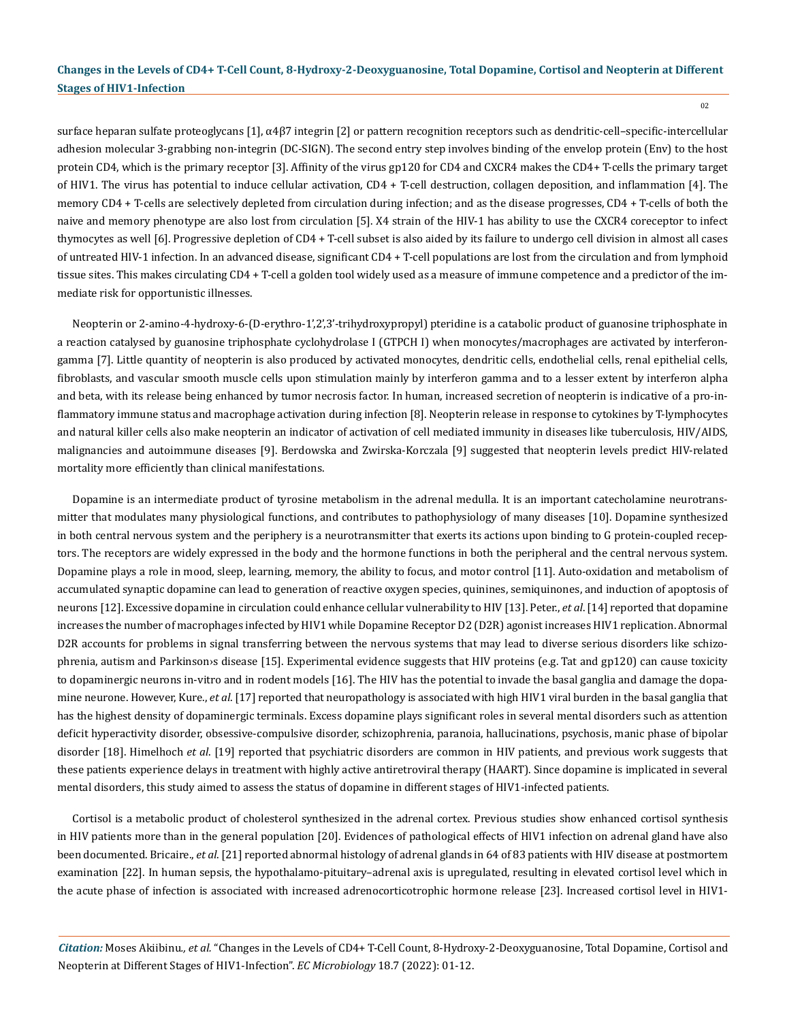surface heparan sulfate proteoglycans [1], α4β7 integrin [2] or pattern recognition receptors such as dendritic-cell–specific-intercellular adhesion molecular 3-grabbing non-integrin (DC-SIGN). The second entry step involves binding of the envelop protein (Env) to the host protein CD4, which is the primary receptor [3]. Affinity of the virus gp120 for CD4 and CXCR4 makes the CD4+ T-cells the primary target of HIV1. The virus has potential to induce cellular activation, CD4 + T-cell destruction, collagen deposition, and inflammation [4]. The memory CD4 + T-cells are selectively depleted from circulation during infection; and as the disease progresses, CD4 + T-cells of both the naive and memory phenotype are also lost from circulation [5]. X4 strain of the HIV-1 has ability to use the CXCR4 coreceptor to infect thymocytes as well [6]. Progressive depletion of CD4 + T-cell subset is also aided by its failure to undergo cell division in almost all cases of untreated HIV-1 infection. In an advanced disease, significant CD4 + T-cell populations are lost from the circulation and from lymphoid tissue sites. This makes circulating CD4 + T-cell a golden tool widely used as a measure of immune competence and a predictor of the immediate risk for opportunistic illnesses.

Neopterin or 2-amino-4-hydroxy-6-(D-erythro-1',2',3'-trihydroxypropyl) pteridine is a [catabolic](http://en.wikipedia.org/wiki/Catabolic) product of [guanosine triphosphate](http://en.wikipedia.org/wiki/Guanosine_triphosphate) in a reaction catalysed by guanosine triphosphate cyclohydrolase I (GTPCH I) when monocytes/macrophages are activated by interferongamma [7]. Little quantity of neopterin is also produced by activated monocytes, dendritic cells, endothelial cells, renal epithelial cells, fibroblasts, and vascular smooth muscle cells upon stimulation mainly by interferon gamma and to a lesser extent by interferon alpha and beta, with its release being enhanced by tumor necrosis factor. In human, increased secretion of neopterin is indicative of a pro-inflammatory immune status and macrophage activation during infection [8]. Neopterin release in response to cytokines by T-lymphocytes and natural killer cells also make neopterin an indicator of activation of cell mediated immunity in diseases like tuberculosis, HIV/AIDS, malignancies and autoimmune diseases [9]. Berdowska and Zwirska-Korczala [9] suggested that neopterin levels predict HIV-related mortality more efficiently than clinical manifestations.

Dopamine is an intermediate product of tyrosine metabolism in the adrenal medulla. It is an important catecholamine neurotransmitter that modulates many physiological functions, and contributes to pathophysiology of many diseases [10]. Dopamine synthesized in both central nervous system and the periphery is a neurotransmitter that exerts its actions upon binding to G protein-coupled receptors. The receptors are widely expressed in the body and the hormone functions in both the peripheral and the central nervous system. Dopamine plays a role in mood, sleep, learning, memory, the ability to focus, and motor control [11]. Auto-oxidation and metabolism of accumulated synaptic dopamine can lead to generation of reactive oxygen species, quinines, semiquinones, and induction of apoptosis of neurons [12]. Excessive dopamine in circulation could enhance cellular vulnerability to HIV [13]. Peter., *et al*. [14] reported that dopamine increases the number of macrophages infected by HIV1 while Dopamine Receptor D2 (D2R) agonist increases HIV1 replication. Abnormal D2R accounts for problems in signal transferring between the nervous systems that may lead to diverse serious disorders like [schizo](https://en.wikipedia.org/wiki/Schizophrenia)[phrenia](https://en.wikipedia.org/wiki/Schizophrenia), [autism](https://en.wikipedia.org/wiki/Autism) and [Parkinson›s disease](https://en.wikipedia.org/wiki/Parkinson%27s_disease) [15]. Experimental evidence suggests that HIV proteins (e.g. Tat and gp120) can cause toxicity to dopaminergic neurons in-vitro and in rodent models [16]. The HIV has the potential to invade the basal ganglia and damage the dopamine neurone. However, Kure., *et al*. [17] reported that neuropathology is associated with high HIV1 viral burden in the basal ganglia that has the highest density of dopaminergic terminals. Excess dopamine plays significant roles in several mental disorders such as attention deficit hyperactivity disorder, [obsessive-compulsive disorder](https://bebrainfit.com/natural-remedies-ocd/), schizophrenia, paranoia, hallucinations, psychosis, manic phase of bipolar disorder [18]. [Himelhoch](https://pubmed.ncbi.nlm.nih.gov/?term=Himelhoch+S&cauthor_id=15602123) *et al*. [19] reported that psychiatric disorders are common in HIV patients, and previous work suggests that these patients experience delays in treatment with highly active antiretroviral therapy (HAART). Since dopamine is implicated in several mental disorders, this study aimed to assess the status of dopamine in different stages of HIV1-infected patients.

Cortisol is a metabolic product of cholesterol synthesized in the adrenal cortex. Previous studies show enhanced cortisol synthesis in HIV patients more than in the general population [[20\]](https://www.ncbi.nlm.nih.gov/pubmed/?term=Lo%20J%5BAuthor%5D&cauthor=true&cauthor_uid=20404726). Evidences of pathological effects of HIV1 infection on adrenal gland have also been documented. Bricaire., *et al*. [21] reported abnormal histology of adrenal glands in 64 of 83 patients with HIV disease at postmortem examination [22]. In human sepsis, the hypothalamo-pituitary–adrenal axis is upregulated, resulting in elevated cortisol level which in the acute phase of infection is associated with increased adrenocorticotrophic hormone release [23]. Increased cortisol level in HIV1-

*Citation:* Moses Akiibinu*., et al.* "Changes in the Levels of CD4+ T-Cell Count, 8-Hydroxy-2-Deoxyguanosine, Total Dopamine, Cortisol and Neopterin at Different Stages of HIV1-Infection". *EC Microbiology* 18.7 (2022): 01-12.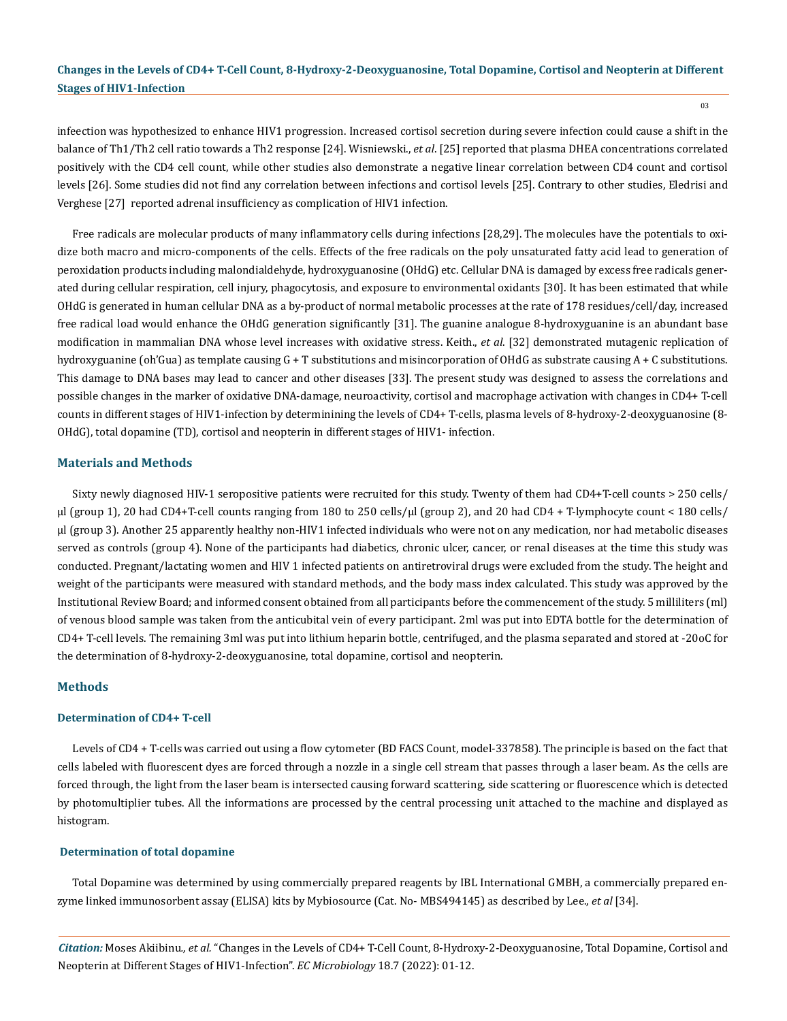03

infeection was hypothesized to enhance HIV1 progression. Increased cortisol secretion during severe infection could cause a shift in the balance of Th1/Th2 cell ratio towards a Th2 response [24]. Wisniewski., *et al*. [25] reported that plasma DHEA concentrations correlated positively with the CD4 cell count, while other studies also demonstrate a negative linear correlation between CD4 count and cortisol levels [26]. Some studies did not find any correlation between infections and cortisol levels [25]. Contrary to other studies, [Eledrisi a](https://www.ncbi.nlm.nih.gov/pubmed/?term=Eledrisi%20MS%5BAuthor%5D&cauthor=true&cauthor_uid=11217816)nd [Verghese \[27\]](https://www.ncbi.nlm.nih.gov/pubmed/?term=Verghese%20AC%5BAuthor%5D&cauthor=true&cauthor_uid=11217816) reported adrenal insufficiency as complication of HIV1 infection.

Free radicals are molecular products of many inflammatory cells during infections [28,29]. The molecules have the potentials to oxidize both macro and micro-components of the cells. Effects of the free radicals on the poly unsaturated fatty acid lead to generation of peroxidation products including malondialdehyde, hydroxyguanosine (OHdG) etc. Cellular DNA is damaged by excess free radicals generated during cellular respiration, cell injury, phagocytosis, and exposure to environmental oxidants [30]. It has been estimated that while OHdG is generated in human cellular DNA as a by-product of normal metabolic processes at the rate of 178 residues/cell/day, increased free radical load would enhance the OHdG generation significantly [31]. The guanine analogue 8-hydroxyguanine is an abundant base modification in mammalian DNA whose level increases with oxidative stress. Keith., *et al*. [32] demonstrated mutagenic replication of hydroxyguanine (oh'Gua) as template causing G + T substitutions and misincorporation of OHdG as substrate causing A + C substitutions. This damage to DNA bases may lead to cancer and other diseases [33]. The present study was designed to assess the correlations and possible changes in the marker of oxidative DNA-damage, neuroactivity, cortisol and macrophage activation with changes in CD4+ T-cell counts in different stages of HIV1-infection by determinining the levels of CD4+ T-cells, plasma levels of 8-hydroxy-2-deoxyguanosine (8- OHdG), total dopamine (TD), cortisol and neopterin in different stages of HIV1- infection.

#### **Materials and Methods**

Sixty newly diagnosed HIV-1 seropositive patients were recruited for this study. Twenty of them had CD4+T-cell counts > 250 cells/ µl (group 1), 20 had CD4+T-cell counts ranging from 180 to 250 cells/µl (group 2), and 20 had CD4 + T-lymphocyte count < 180 cells/ µl (group 3). Another 25 apparently healthy non-HIV1 infected individuals who were not on any medication, nor had metabolic diseases served as controls (group 4). None of the participants had diabetics, chronic ulcer, cancer, or renal diseases at the time this study was conducted. Pregnant/lactating women and HIV 1 infected patients on antiretroviral drugs were excluded from the study. The height and weight of the participants were measured with standard methods, and the body mass index calculated. This study was approved by the Institutional Review Board; and informed consent obtained from all participants before the commencement of the study. 5 milliliters (ml) of venous blood sample was taken from the anticubital vein of every participant. 2ml was put into EDTA bottle for the determination of CD4+ T-cell levels. The remaining 3ml was put into lithium heparin bottle, centrifuged, and the plasma separated and stored at -20oC for the determination of 8-hydroxy-2-deoxyguanosine, total dopamine, cortisol and neopterin.

#### **Methods**

#### **Determination of CD4+ T-cell**

Levels of CD4 + T-cells was carried out using a flow cytometer (BD FACS Count, model-337858). The principle is based on the fact that cells labeled with fluorescent dyes are forced through a nozzle in a single cell stream that passes through a laser beam. As the cells are forced through, the light from the laser beam is intersected causing forward scattering, side scattering or fluorescence which is detected by photomultiplier tubes. All the informations are processed by the central processing unit attached to the machine and displayed as histogram.

#### **Determination of total dopamine**

Total Dopamine was determined by using commercially prepared reagents by IBL International GMBH, a commercially prepared enzyme linked immunosorbent assay (ELISA) kits by Mybiosource (Cat. No- [MBS494145](https://www.mybiosource.com/human-elisa-kits/dopamine/494145)) as described by Lee., *et al* [34].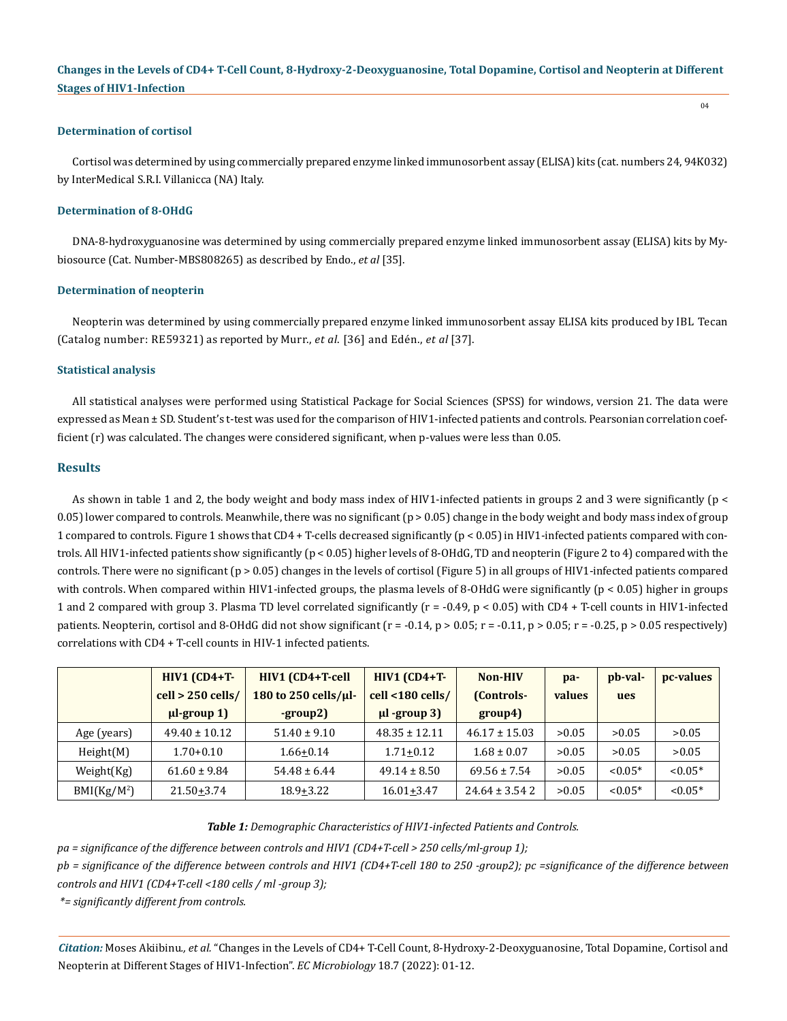#### **Determination of cortisol**

Cortisol was determined by using commercially prepared enzyme linked immunosorbent assay (ELISA) kits (cat. numbers 24, 94K032) by InterMedical S.R.I. Villanicca (NA) Italy.

#### **Determination of 8-OHdG**

DNA-8-hydroxyguanosine was determined by using commercially prepared enzyme linked immunosorbent assay (ELISA) kits by Mybiosource (Cat. Number-MBS808265) as described by Endo., *et al* [35].

#### **Determination of neopterin**

Neopterin was determined by using commercially prepared enzyme linked immunosorbent assay ELISA kits produced by IBL Tecan (Catalog number: RE59321) as reported by Murr., *et al*. [36] and Edén., *et al* [37].

#### **Statistical analysis**

All statistical analyses were performed using Statistical Package for Social Sciences (SPSS) for windows, version 21. The data were expressed as Mean ± SD. Student's t-test was used for the comparison of HIV1-infected patients and controls. Pearsonian correlation coefficient (r) was calculated. The changes were considered significant, when p-values were less than 0.05.

#### **Results**

As shown in table 1 and 2, the body weight and body mass index of HIV1-infected patients in groups 2 and 3 were significantly (p < 0.05) lower compared to controls. Meanwhile, there was no significant (p > 0.05) change in the body weight and body mass index of group 1 compared to controls. Figure 1 shows that CD4 + T-cells decreased significantly (p < 0.05) in HIV1-infected patients compared with controls. All HIV1-infected patients show significantly (p < 0.05) higher levels of 8-OHdG, TD and neopterin (Figure 2 to 4) compared with the controls. There were no significant ( $p > 0.05$ ) changes in the levels of cortisol (Figure 5) in all groups of HIV1-infected patients compared with controls. When compared within HIV1-infected groups, the plasma levels of 8-OHdG were significantly (p < 0.05) higher in groups 1 and 2 compared with group 3. Plasma TD level correlated significantly (r = -0.49, p < 0.05) with CD4 + T-cell counts in HIV1-infected patients. Neopterin, cortisol and 8-OHdG did not show significant  $(r = -0.14, p > 0.05; r = -0.11, p > 0.05; r = -0.25, p > 0.05$  respectively) correlations with CD4 + T-cell counts in HIV-1 infected patients.

|                         | $HIV1$ (CD4+T-      | HIV1 (CD4+T-cell     | $HIV1$ (CD4+T-    | Non-HIV           | pa-    | pb-val-    | pc-values |
|-------------------------|---------------------|----------------------|-------------------|-------------------|--------|------------|-----------|
|                         | $cell > 250$ cells/ | 180 to 250 cells/µl- | cell <180 cells/  | (Controls-        | values | ues        |           |
|                         | $\mu$ -group 1)     | -group2)             | $\mu$ l -group 3) | group4)           |        |            |           |
| Age (years)             | $49.40 \pm 10.12$   | $51.40 \pm 9.10$     | $48.35 \pm 12.11$ | $46.17 \pm 15.03$ | >0.05  | >0.05      | >0.05     |
| Height(M)               | $1.70 + 0.10$       | $1.66 + 0.14$        | $1.71 + 0.12$     | $1.68 \pm 0.07$   | >0.05  | >0.05      | >0.05     |
| Weight(Kg)              | $61.60 \pm 9.84$    | $54.48 \pm 6.44$     | $49.14 \pm 8.50$  | $69.56 \pm 7.54$  | >0.05  | ${<}0.05*$ | $< 0.05*$ |
| BMI(Kg/M <sup>2</sup> ) | $21.50 + 3.74$      | $18.9 + 3.22$        | $16.01 + 3.47$    | $24.64 \pm 3.542$ | >0.05  | ${<}0.05*$ | $< 0.05*$ |

#### *Table 1: Demographic Characteristics of HIV1-infected Patients and Controls.*

*pa = significance of the difference between controls and HIV1 (CD4+T-cell > 250 cells/ml-group 1);* 

*pb = significance of the difference between controls and HIV1 (CD4+T-cell 180 to 250 -group2); pc =significance of the difference between controls and HIV1 (CD4+T-cell <180 cells / ml -group 3);* 

 *\*= significantly different from controls.*

*Citation:* Moses Akiibinu*., et al.* "Changes in the Levels of CD4+ T-Cell Count, 8-Hydroxy-2-Deoxyguanosine, Total Dopamine, Cortisol and Neopterin at Different Stages of HIV1-Infection". *EC Microbiology* 18.7 (2022): 01-12.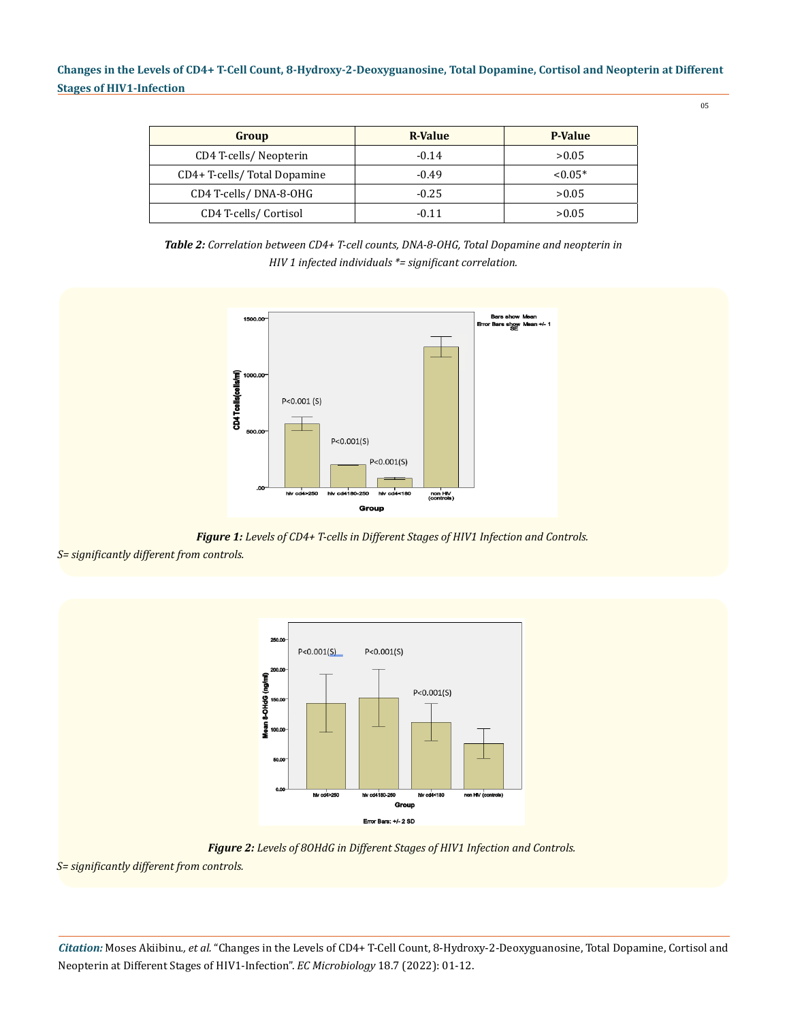| Group                       | R-Value | <b>P-Value</b> |  |
|-----------------------------|---------|----------------|--|
| CD4 T-cells/Neopterin       | $-0.14$ | >0.05          |  |
| CD4+ T-cells/Total Dopamine | $-0.49$ | $< 0.05*$      |  |
| CD4 T-cells/DNA-8-OHG       | $-0.25$ | >0.05          |  |
| CD4 T-cells/Cortisol        | $-0.11$ | >0.05          |  |

*Table 2: Correlation between CD4+ T-cell counts, DNA-8-OHG, Total Dopamine and neopterin in HIV 1 infected individuals \*= significant correlation.*



*Figure 1: Levels of CD4+ T-cells in Different Stages of HIV1 Infection and Controls.*

*S= significantly different from controls.*



*Figure 2: Levels of 8OHdG in Different Stages of HIV1 Infection and Controls.*

*S= significantly different from controls.*

*Citation:* Moses Akiibinu*., et al.* "Changes in the Levels of CD4+ T-Cell Count, 8-Hydroxy-2-Deoxyguanosine, Total Dopamine, Cortisol and Neopterin at Different Stages of HIV1-Infection". *EC Microbiology* 18.7 (2022): 01-12.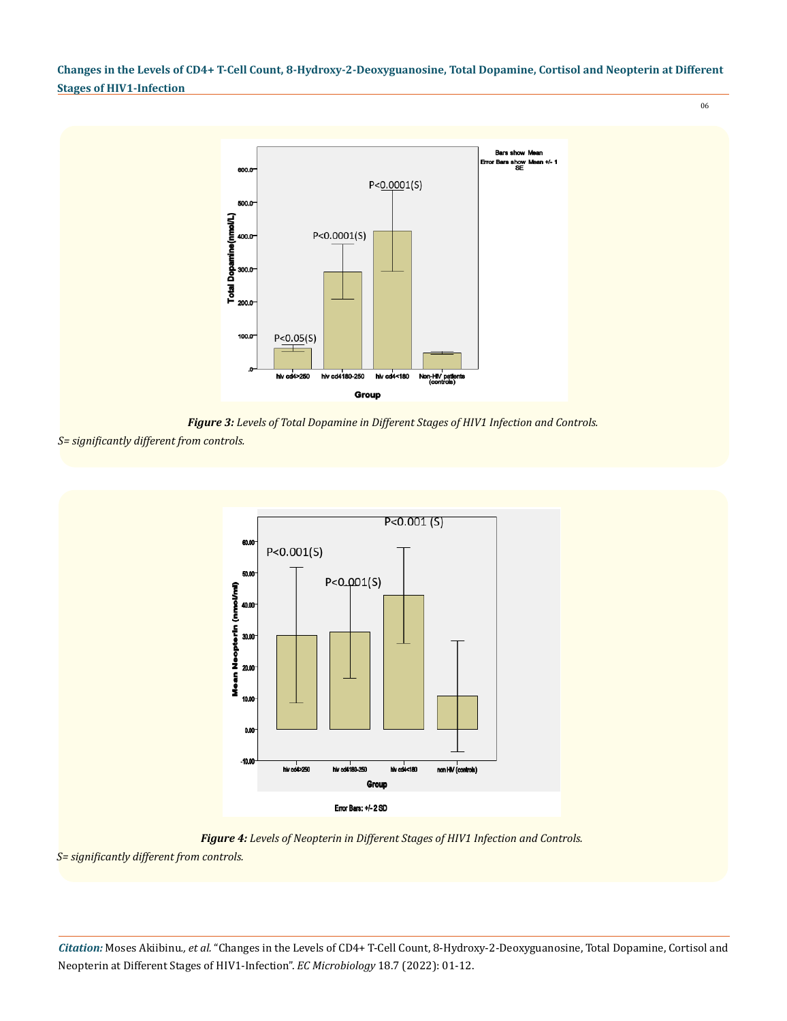

*Figure 3: Levels of Total Dopamine in Different Stages of HIV1 Infection and Controls.*

*S= significantly different from controls.*



*Figure 4: Levels of Neopterin in Different Stages of HIV1 Infection and Controls.*

*S= significantly different from controls.*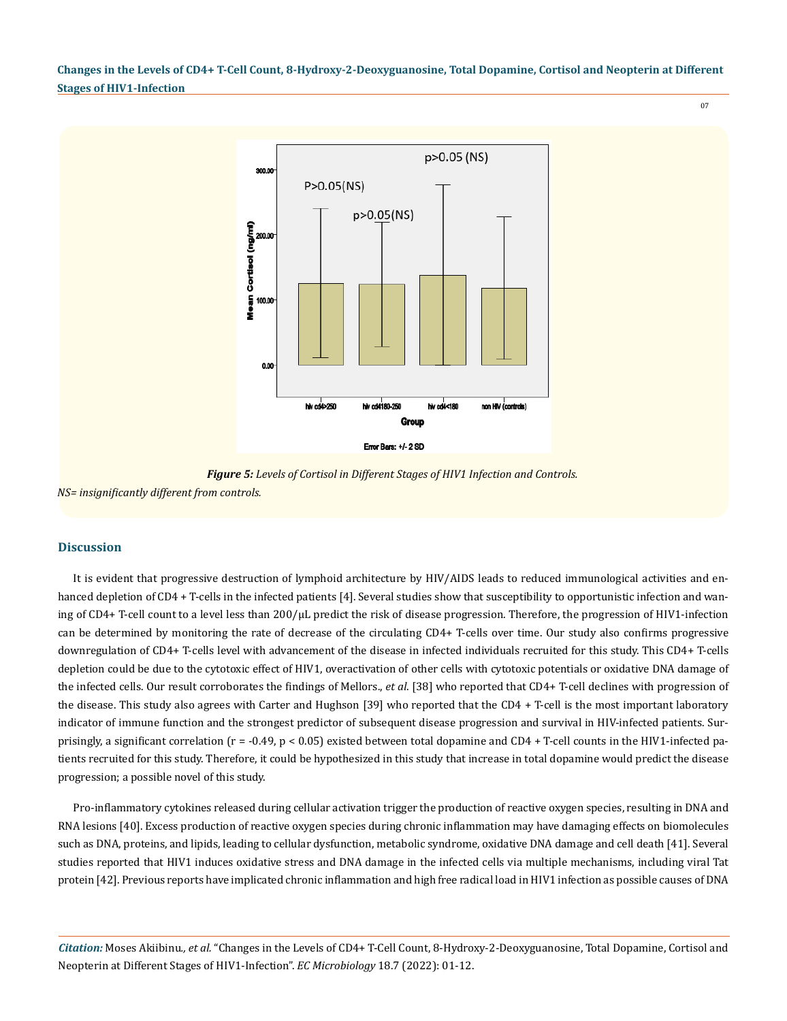07



*Figure 5: Levels of Cortisol in Different Stages of HIV1 Infection and Controls.*

*NS= insignificantly different from controls.*

#### **Discussion**

It is evident that progressive destruction of lymphoid architecture by HIV/AIDS leads to reduced immunological activities and enhanced depletion of CD4 + T-cells in the infected patients [4]. Several studies show that susceptibility to opportunistic infection and waning of CD4+ T-cell count to a level less than 200/µL predict the risk of disease progression. Therefore, the progression of HIV1-infection can be determined by monitoring the rate of decrease of the circulating CD4+ T-cells over time. Our study also confirms progressive downregulation of CD4+ T-cells level with advancement of the disease in infected individuals recruited for this study. This CD4+ T-cells depletion could be due to the cytotoxic effect of HIV1, overactivation of other cells with cytotoxic potentials or oxidative DNA damage of the infected cells. Our result corroborates the findings of Mellors., *et al*. [38] who reported that CD4+ T-cell declines with progression of the disease. This study also agrees with Carter and Hughson [39] who reported that the CD4 + T-cell is the most important laboratory indicator of immune function and the strongest predictor of subsequent disease progression and survival in HIV-infected patients. Surprisingly, a significant correlation (r = -0.49, p < 0.05) existed between total dopamine and CD4 + T-cell counts in the HIV1-infected patients recruited for this study. Therefore, it could be hypothesized in this study that increase in total dopamine would predict the disease progression; a possible novel of this study.

Pro-inflammatory cytokines released during cellular activation trigger the production of reactive oxygen species, resulting in DNA and RNA lesions [40]. Excess production of reactive oxygen species during chronic inflammation may have damaging effects on biomolecules such as DNA, proteins, and lipids, leading to cellular dysfunction, metabolic syndrome, oxidative DNA damage and cell death [41]. Several studies reported that HIV1 induces oxidative stress and DNA damage in the infected cells via multiple mechanisms, including viral Tat protein [42]. Previous reports have implicated chronic inflammation and high free radical load in HIV1 infection as possible causes of DNA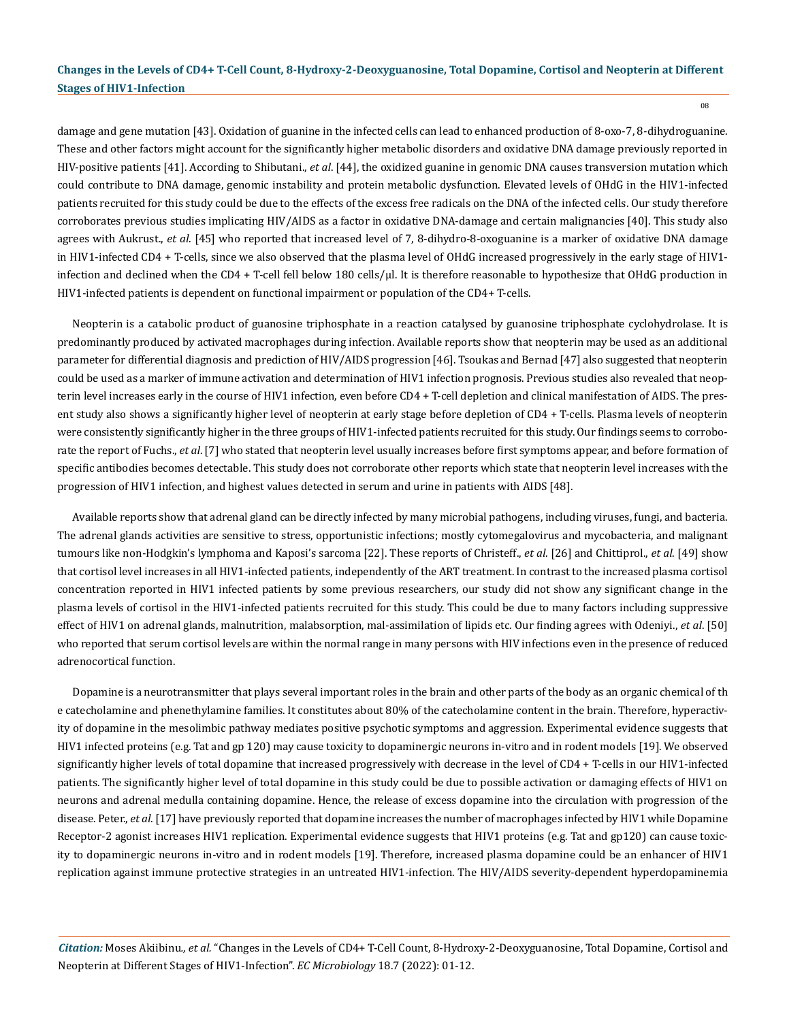damage and gene mutation [43]. Oxidation of guanine in the infected cells can lead to enhanced production of 8-oxo-7, 8-dihydroguanine. These and other factors might account for the significantly higher metabolic disorders and oxidative DNA damage previously reported in HIV-positive patients [41]. According to Shibutani., *et al*. [44], the oxidized guanine in genomic DNA causes transversion mutation which could contribute to DNA damage, genomic instability and protein metabolic dysfunction. Elevated levels of OHdG in the HIV1-infected patients recruited for this study could be due to the effects of the excess free radicals on the DNA of the infected cells. Our study therefore corroborates previous studies implicating HIV/AIDS as a factor in oxidative DNA-damage and certain malignancies [40]. This study also agrees with Aukrust., *et al*. [45] who reported that increased level of 7, 8-dihydro-8-oxoguanine is a marker of oxidative DNA damage in HIV1-infected CD4 + T-cells, since we also observed that the plasma level of OHdG increased progressively in the early stage of HIV1 infection and declined when the CD4 + T-cell fell below 180 cells/µl. It is therefore reasonable to hypothesize that OHdG production in HIV1-infected patients is dependent on functional impairment or population of the CD4+ T-cells.

Neopterin is a [catabolic](http://en.wikipedia.org/wiki/Catabolic) product of [guanosine triphosphate](http://en.wikipedia.org/wiki/Guanosine_triphosphate) in a reaction catalysed by guanosine triphosphate cyclohydrolase. It is predominantly produced by activated macrophages during infection. Available reports show that neopterin may be used as an additional parameter for differential diagnosis and prediction of HIV/AIDS progression [46]. Tsoukas and Bernad [47] also suggested that neopterin could be used as a marker of immune activation and determination of HIV1 infection prognosis. Previous studies also revealed that neopterin level increases early in the course of HIV1 infection, even before CD4 + T-cell depletion and clinical manifestation of AIDS. The present study also shows a significantly higher level of neopterin at early stage before depletion of CD4 + T-cells. Plasma levels of neopterin were consistently significantly higher in the three groups of HIV1-infected patients recruited for this study. Our findings seems to corroborate the report of Fuchs., *et al*. [7] who stated that neopterin level usually increases before first symptoms appear, and before formation of specific antibodies becomes detectable. This study does not corroborate other reports which state that neopterin level increases with the progression of HIV1 infection, and highest values detected in serum and urine in patients with AIDS [48].

Available reports show that adrenal gland can be directly infected by many microbial pathogens, including viruses, fungi, and bacteria. The adrenal glands activities are sensitive to stress, opportunistic infections; mostly cytomegalovirus and mycobacteria, and malignant tumours like non-Hodgkin's lymphoma and Kaposi's sarcoma [22]. These reports of Christeff., *et al*. [26] and Chittiprol., *et al*. [49] show that cortisol level increases in all HIV1-infected patients, independently of the ART treatment. In contrast to the increased plasma cortisol concentration reported in HIV1 infected patients by some previous researchers, our study did not show any significant change in the plasma levels of cortisol in the HIV1-infected patients recruited for this study. This could be due to many factors including suppressive effect of HIV1 on adrenal glands, malnutrition, malabsorption, mal-assimilation of lipids etc. Our finding agrees with Odeniyi., *et al*. [50] who reported that serum cortisol levels are within the normal range in many persons with HIV infections even in the presence of reduced adrenocortical function.

Dopamine is a [neurotransmitter](https://en.wikipedia.org/wiki/Neurotransmitter) that plays several important roles in the brain and other parts of the body as an [organic chemical](https://en.wikipedia.org/wiki/Organic_compound) of th e [catecholamine](https://en.wikipedia.org/wiki/Catecholamine) and [phenethylamine](https://en.wikipedia.org/wiki/Phenethylamine) families. It constitutes about 80% of the catecholamine content in the brain. Therefore, hyperactivity of dopamine in the mesolimbic pathway mediates positive psychotic symptoms and aggression. Experimental evidence suggests that HIV1 infected proteins (e.g. Tat and gp 120) may cause toxicity to dopaminergic neurons in-vitro and in rodent models [19]. We observed significantly higher levels of total dopamine that increased progressively with decrease in the level of CD4 + T-cells in our HIV1-infected patients. The significantly higher level of total dopamine in this study could be due to possible activation or damaging effects of HIV1 on neurons and adrenal medulla containing dopamine. Hence, the release of excess dopamine into the circulation with progression of the disease. Peter., *et al*. [17] have previously reported that dopamine increases the number of macrophages infected by HIV1 while Dopamine Receptor-2 agonist increases HIV1 replication. Experimental evidence suggests that HIV1 proteins (e.g. Tat and gp120) can cause toxicity to dopaminergic neurons in-vitro and in rodent models [19]. Therefore, increased plasma dopamine could be an enhancer of HIV1 replication against immune protective strategies in an untreated HIV1-infection. The HIV/AIDS severity-dependent hyperdopaminemia

*Citation:* Moses Akiibinu*., et al.* "Changes in the Levels of CD4+ T-Cell Count, 8-Hydroxy-2-Deoxyguanosine, Total Dopamine, Cortisol and Neopterin at Different Stages of HIV1-Infection". *EC Microbiology* 18.7 (2022): 01-12.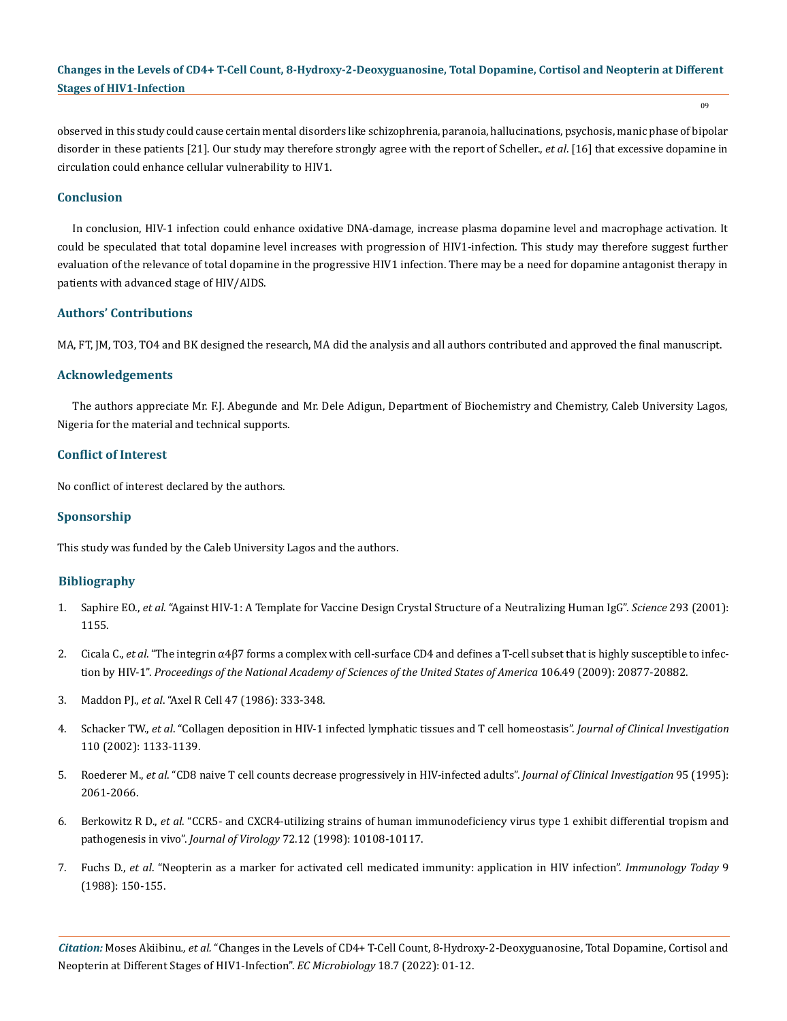observed in this study could cause certain mental disorders like schizophrenia, paranoia, hallucinations, psychosis, manic phase of bipolar disorder in these patients [21]. Our study may therefore strongly agree with the report of Scheller., *et al*. [16] that excessive dopamine in circulation could enhance cellular vulnerability to HIV1.

#### **Conclusion**

In conclusion, HIV-1 infection could enhance oxidative DNA-damage, increase plasma dopamine level and macrophage activation. It could be speculated that total dopamine level increases with progression of HIV1-infection. This study may therefore suggest further evaluation of the relevance of total dopamine in the progressive HIV1 infection. There may be a need for dopamine antagonist therapy in patients with advanced stage of HIV/AIDS.

#### **Authors' Contributions**

MA, FT, JM, TO3, TO4 and BK designed the research, MA did the analysis and all authors contributed and approved the final manuscript.

#### **Acknowledgements**

The authors appreciate Mr. F.J. Abegunde and Mr. Dele Adigun, Department of Biochemistry and Chemistry, Caleb University Lagos, Nigeria for the material and technical supports.

#### **Conflict of Interest**

No conflict of interest declared by the authors.

#### **Sponsorship**

This study was funded by the Caleb University Lagos and the authors.

#### **Bibliography**

- 1. Saphire EO., *et al*[. "Against HIV-1: A Template for Vaccine Design Crystal Structure of a Neutralizing Human IgG".](https://pubmed.ncbi.nlm.nih.gov/11498595/) *Science* 293 (2001): [1155.](https://pubmed.ncbi.nlm.nih.gov/11498595/)
- 2. Cicala C., *et al*[. "The integrin α4β7 forms a complex with cell-surface CD4 and defines a T-cell subset that is highly susceptible to infec](https://pubmed.ncbi.nlm.nih.gov/19933330/)tion by HIV-1". *[Proceedings of the National Academy of Sciences of the United States of America](https://pubmed.ncbi.nlm.nih.gov/19933330/)* 106.49 (2009): 20877-20882.
- 3. Maddon PJ., *et al*. "Axel R Cell 47 (1986): 333-348.
- 4. Schacker TW., *et al*[. "Collagen deposition in HIV-1 infected lymphatic tissues and T cell homeostasis".](https://pubmed.ncbi.nlm.nih.gov/12393849/) *Journal of Clinical Investigation*  [110 \(2002\): 1133-1139.](https://pubmed.ncbi.nlm.nih.gov/12393849/)
- 5. Roederer M., *et al*[. "CD8 naive T cell counts decrease progressively in HIV-infected adults".](https://pubmed.ncbi.nlm.nih.gov/7738173/) *Journal of Clinical Investigation* 95 (1995): [2061-2066.](https://pubmed.ncbi.nlm.nih.gov/7738173/)
- 6. Berkowitz R D., *et al*[. "CCR5- and CXCR4-utilizing strains of human immunodeficiency virus type 1 exhibit differential tropism and](https://www.ncbi.nlm.nih.gov/pmc/articles/PMC110545/) pathogenesis in vivo". *Journal of Virology* [72.12 \(1998\): 10108-10117.](https://www.ncbi.nlm.nih.gov/pmc/articles/PMC110545/)
- 7. Fuchs D., *et al*[. "Neopterin as a marker for activated cell medicated immunity: application in HIV infection".](https://pubmed.ncbi.nlm.nih.gov/3076770/) *Immunology Today* 9 [\(1988\): 150-155.](https://pubmed.ncbi.nlm.nih.gov/3076770/)

*Citation:* Moses Akiibinu*., et al.* "Changes in the Levels of CD4+ T-Cell Count, 8-Hydroxy-2-Deoxyguanosine, Total Dopamine, Cortisol and Neopterin at Different Stages of HIV1-Infection". *EC Microbiology* 18.7 (2022): 01-12.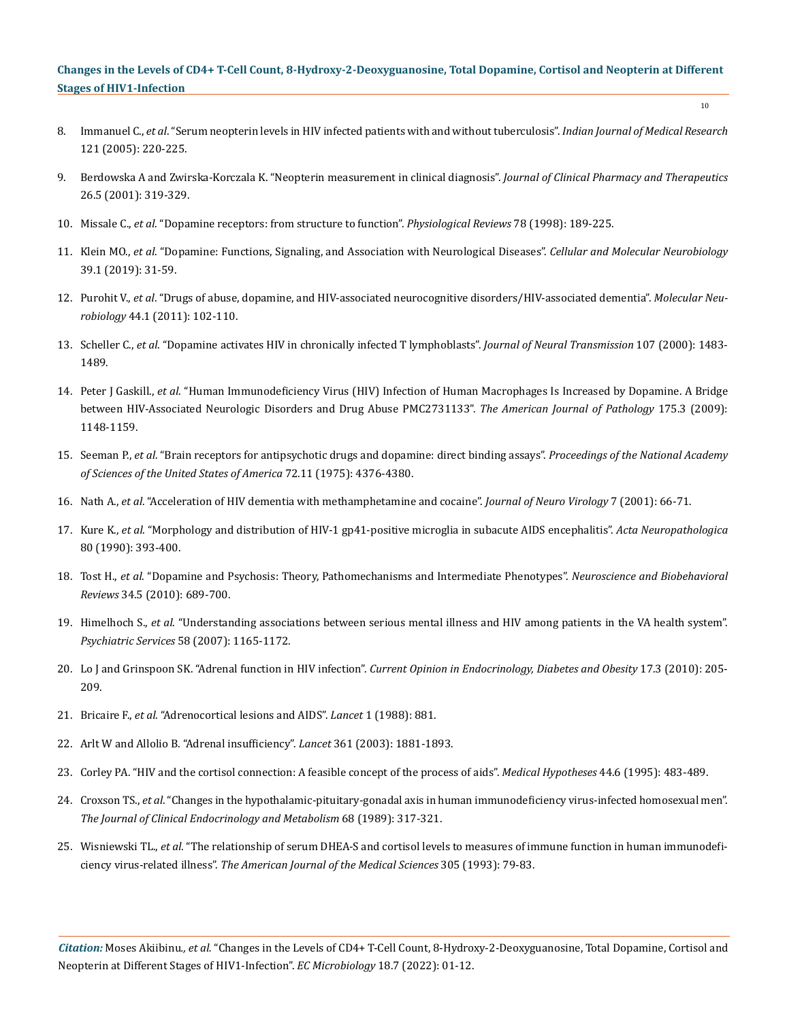- 8. Immanuel C., *et al*[. "Serum neopterin levels in HIV infected patients with and without tuberculosis".](https://pubmed.ncbi.nlm.nih.gov/15817939/) *Indian Journal of Medical Research*  [121 \(2005\): 220-225.](https://pubmed.ncbi.nlm.nih.gov/15817939/)
- 9. [Berdowska A and Zwirska-Korczala K. "Neopterin measurement in clinical diagnosis".](https://pubmed.ncbi.nlm.nih.gov/11679022/) *Journal of Clinical Pharmacy and Therapeutics*  [26.5 \(2001\): 319-329.](https://pubmed.ncbi.nlm.nih.gov/11679022/)
- 10. Missale C., *et al*[. "Dopamine receptors: from structure to function".](https://pubmed.ncbi.nlm.nih.gov/9457173/) *Physiological Reviews* 78 (1998): 189-225.
- 11. Klein MO., *et al*[. "Dopamine: Functions, Signaling, and Association with Neurological Diseases".](https://pubmed.ncbi.nlm.nih.gov/30446950/) *Cellular and Molecular Neurobiology*  [39.1 \(2019\): 31-59.](https://pubmed.ncbi.nlm.nih.gov/30446950/)
- 12. Purohit V., *et al*[. "Drugs of abuse, dopamine, and HIV-associated neurocognitive disorders/HIV-associated dementia".](https://pubmed.ncbi.nlm.nih.gov/21717292/) *Molecular Neurobiology* [44.1 \(2011\): 102-110.](https://pubmed.ncbi.nlm.nih.gov/21717292/)
- 13. Scheller C., *et al*[. "Dopamine activates HIV in chronically infected T lymphoblasts".](https://pubmed.ncbi.nlm.nih.gov/11459001/) *Journal of Neural Transmission* 107 (2000): 1483- [1489.](https://pubmed.ncbi.nlm.nih.gov/11459001/)
- 14. Peter J Gaskill., *et al*[. "Human Immunodeficiency Virus \(HIV\) Infection of Human Macrophages Is Increased by Dopamine. A Bridge](https://pubmed.ncbi.nlm.nih.gov/19661443/) [between HIV-Associated Neurologic Disorders and Drug Abuse PMC2731133".](https://pubmed.ncbi.nlm.nih.gov/19661443/) *The American Journal of Pathology* 175.3 (2009): [1148-1159.](https://pubmed.ncbi.nlm.nih.gov/19661443/)
- 15. Seeman P., *et al*[. "Brain receptors for antipsychotic drugs and dopamine: direct binding assays".](https://www.ncbi.nlm.nih.gov/pmc/articles/PMC388724/) *Proceedings of the National Academy [of Sciences of the United States of America](https://www.ncbi.nlm.nih.gov/pmc/articles/PMC388724/)* 72.11 (1975): 4376-4380.
- 16. Nath A., *et al*[. "Acceleration of HIV dementia with methamphetamine and cocaine".](https://pubmed.ncbi.nlm.nih.gov/11519485/) *Journal of Neuro Virology* 7 (2001): 66-71.
- 17. Kure K., *et al*[. "Morphology and distribution of HIV-1 gp41-positive microglia in subacute AIDS encephalitis".](https://link.springer.com/article/10.1007/BF00307693) *Acta Neuropathologica*  [80 \(1990\): 393-400.](https://link.springer.com/article/10.1007/BF00307693)
- 18. Tost H., *et al*[. "Dopamine and Psychosis: Theory, Pathomechanisms and Intermediate Phenotypes".](https://pubmed.ncbi.nlm.nih.gov/19559045/) *Neuroscience and Biobehavioral Reviews* [34.5 \(2010\): 689-700.](https://pubmed.ncbi.nlm.nih.gov/19559045/)
- 19. Himelhoch S., *et al*[. "Understanding associations between serious mental illness and HIV among patients in the VA health system".](https://pubmed.ncbi.nlm.nih.gov/17766561/) *[Psychiatric Services](https://pubmed.ncbi.nlm.nih.gov/17766561/)* 58 (2007): 1165-1172.
- 20. Lo J and Grinspoon SK. "Adrenal function in HIV infection". *[Current Opinion in Endocrinology, Diabetes and Obesity](https://pubmed.ncbi.nlm.nih.gov/20404726/)* 17.3 (2010): 205- [209.](https://pubmed.ncbi.nlm.nih.gov/20404726/)
- 21. Bricaire F., *et al*[. "Adrenocortical lesions and AIDS".](https://pubmed.ncbi.nlm.nih.gov/2895383/) *Lancet* 1 (1988): 881.
- 22. [Arlt W and Allolio B. "Adrenal insufficiency".](https://pubmed.ncbi.nlm.nih.gov/12788587/) *Lancet* 361 (2003): 1881-1893.
- 23. [Corley PA. "HIV and the cortisol connection: A feasible concept of the process of aids".](https://pubmed.ncbi.nlm.nih.gov/7476594/) *Medical Hypotheses* 44.6 (1995): 483-489.
- 24. Croxson TS., *et al*[. "Changes in the hypothalamic-pituitary-gonadal axis in human immunodeficiency virus-infected homosexual men".](https://pubmed.ncbi.nlm.nih.gov/2493026/) *[The Journal of Clinical Endocrinology and Metabolism](https://pubmed.ncbi.nlm.nih.gov/2493026/)* 68 (1989): 317-321.
- 25. Wisniewski TL., *et al*[. "The relationship of serum DHEA-S and cortisol levels to measures of immune function in human immunodefi](https://pubmed.ncbi.nlm.nih.gov/8093989/)ciency virus-related illness". *[The American Journal of the Medical Sciences](https://pubmed.ncbi.nlm.nih.gov/8093989/)* 305 (1993): 79-83.

*Citation:* Moses Akiibinu*., et al.* "Changes in the Levels of CD4+ T-Cell Count, 8-Hydroxy-2-Deoxyguanosine, Total Dopamine, Cortisol and Neopterin at Different Stages of HIV1-Infection". *EC Microbiology* 18.7 (2022): 01-12.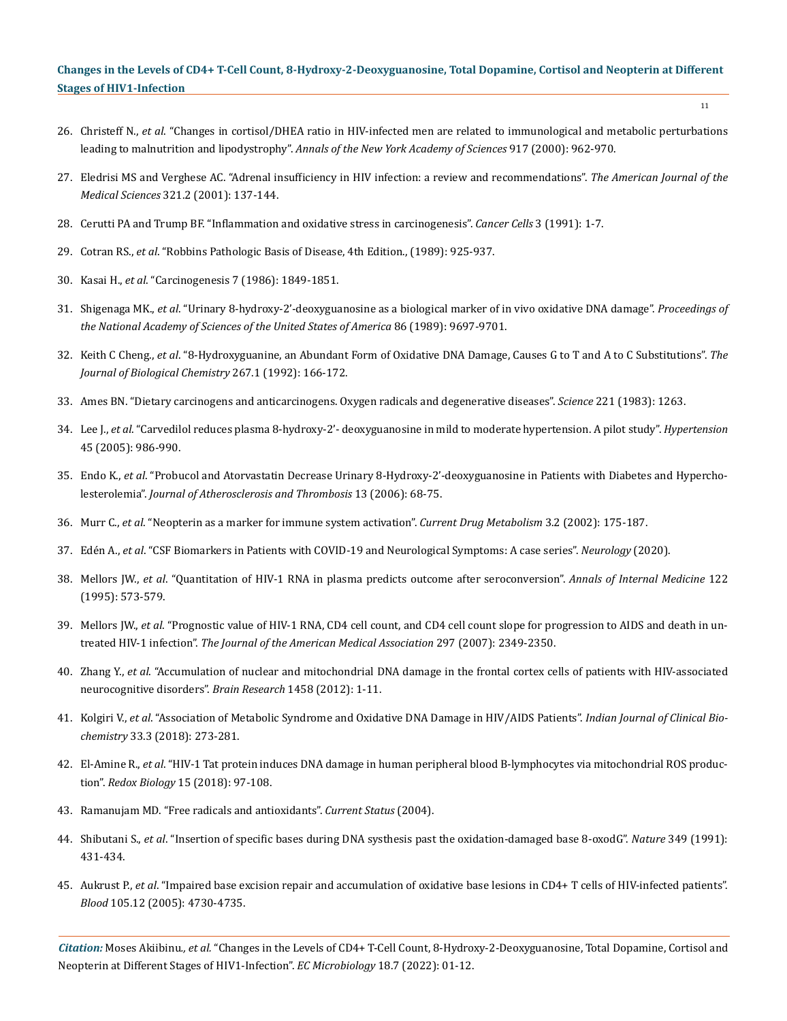- 26. Christeff N., *et al*[. "Changes in cortisol/DHEA ratio in HIV-infected men are related to immunological and metabolic perturbations](https://pubmed.ncbi.nlm.nih.gov/11268428/) leading to malnutrition and lipodystrophy". *[Annals of the New York Academy of Sciences](https://pubmed.ncbi.nlm.nih.gov/11268428/)* 917 (2000): 962-970.
- 27. [Eledrisi MS and Verghese AC. "Adrenal insufficiency in HIV infection: a review and recommendations".](https://pubmed.ncbi.nlm.nih.gov/11217816/) *The American Journal of the Medical Sciences* [321.2 \(2001\): 137-144.](https://pubmed.ncbi.nlm.nih.gov/11217816/)
- 28. [Cerutti PA and Trump BF. "Inflammation and oxidative stress in carcinogenesis".](https://pubmed.ncbi.nlm.nih.gov/2025490/) *Cancer Cells* 3 (1991): 1-7.
- 29. Cotran RS., *et al*. "Robbins Pathologic Basis of Disease, 4th Edition., (1989): 925-937.
- 30. Kasai H., *et al*. "Carcinogenesis 7 (1986): 1849-1851.
- 31. Shigenaga MK., *et al*[. "Urinary 8-hydroxy-2'-deoxyguanosine as a biological marker of in vivo oxidative DNA damage".](https://pubmed.ncbi.nlm.nih.gov/2602371/) *Proceedings of [the National Academy of Sciences of the United States of America](https://pubmed.ncbi.nlm.nih.gov/2602371/)* 86 (1989): 9697-9701.
- 32. Keith C Cheng., *et al*[. "8-Hydroxyguanine, an Abundant Form of Oxidative DNA Damage, Causes G to T and A to C Substitutions".](https://pubmed.ncbi.nlm.nih.gov/1730583/) *The [Journal of Biological Chemistry](https://pubmed.ncbi.nlm.nih.gov/1730583/)* 267.1 (1992): 166-172.
- 33. [Ames BN. "Dietary carcinogens and anticarcinogens. Oxygen radicals and degenerative diseases".](https://pubmed.ncbi.nlm.nih.gov/6351251/) *Science* 221 (1983): 1263.
- 34. Lee J., *et al*[. "Carvedilol reduces plasma 8-hydroxy-2'- deoxyguanosine in mild to moderate hypertension. A pilot study".](https://pubmed.ncbi.nlm.nih.gov/15837835/) *Hypertension* [45 \(2005\): 986-990.](https://pubmed.ncbi.nlm.nih.gov/15837835/)
- 35. Endo K., *et al*[. "Probucol and Atorvastatin Decrease Urinary 8-Hydroxy-2'-deoxyguanosine in Patients with Diabetes and Hypercho](https://pubmed.ncbi.nlm.nih.gov/16505594/)lesterolemia". *[Journal of Atherosclerosis and Thrombosis](https://pubmed.ncbi.nlm.nih.gov/16505594/)* 13 (2006): 68-75.
- 36. Murr C., *et al*[. "Neopterin as a marker for immune system activation".](https://pubmed.ncbi.nlm.nih.gov/18220157/) *Current Drug Metabolism* 3.2 (2002): 175-187.
- 37. Edén A., *et al*[. "CSF Biomarkers in Patients with COVID-19 and Neurological Symptoms: A case series".](https://pubmed.ncbi.nlm.nih.gov/33004602/) *Neurology* (2020).
- 38. Mellors JW., *et al*[. "Quantitation of HIV-1 RNA in plasma predicts outcome after seroconversion".](https://pubmed.ncbi.nlm.nih.gov/7887550/) *Annals of Internal Medicine* 122 [\(1995\): 573-579.](https://pubmed.ncbi.nlm.nih.gov/7887550/)
- 39. Mellors JW., *et al*[. "Prognostic value of HIV-1 RNA, CD4 cell count, and CD4 cell count slope for progression to AIDS and death in un](https://pubmed.ncbi.nlm.nih.gov/17551128/)treated HIV-1 infection". *[The Journal of the American Medical Association](https://pubmed.ncbi.nlm.nih.gov/17551128/)* 297 (2007): 2349-2350.
- 40. Zhang Y., *et al*[. "Accumulation of nuclear and mitochondrial DNA damage in the frontal cortex cells of patients with HIV-associated](https://pubmed.ncbi.nlm.nih.gov/22554480/) [neurocognitive disorders".](https://pubmed.ncbi.nlm.nih.gov/22554480/) *Brain Research* 1458 (2012): 1-11.
- 41. Kolgiri V., *et al*[. "Association of Metabolic Syndrome and Oxidative DNA Damage in HIV/AIDS Patients".](https://pubmed.ncbi.nlm.nih.gov/30072826/) *Indian Journal of Clinical Biochemistry* [33.3 \(2018\): 273-281.](https://pubmed.ncbi.nlm.nih.gov/30072826/)
- 42. El-Amine R., *et al*[. "HIV-1 Tat protein induces DNA damage in human peripheral blood B-lymphocytes via mitochondrial ROS produc](https://pubmed.ncbi.nlm.nih.gov/29220699/)tion". *Redox Biology* [15 \(2018\): 97-108.](https://pubmed.ncbi.nlm.nih.gov/29220699/)
- 43. Ramanujam MD. "Free radicals and antioxidants". *Current Status* (2004).
- 44. Shibutani S., *et al*[. "Insertion of specific bases during DNA systhesis past the oxidation-damaged base 8-oxodG".](https://pubmed.ncbi.nlm.nih.gov/1992344/) *Nature* 349 (1991): [431-434.](https://pubmed.ncbi.nlm.nih.gov/1992344/)
- 45. Aukrust P., *et al*[. "Impaired base excision repair and accumulation of oxidative base lesions in CD4+ T cells of HIV-infected patients".](https://pubmed.ncbi.nlm.nih.gov/15705786/) *Blood* [105.12 \(2005\): 4730-4735.](https://pubmed.ncbi.nlm.nih.gov/15705786/)

*Citation:* Moses Akiibinu*., et al.* "Changes in the Levels of CD4+ T-Cell Count, 8-Hydroxy-2-Deoxyguanosine, Total Dopamine, Cortisol and Neopterin at Different Stages of HIV1-Infection". *EC Microbiology* 18.7 (2022): 01-12.